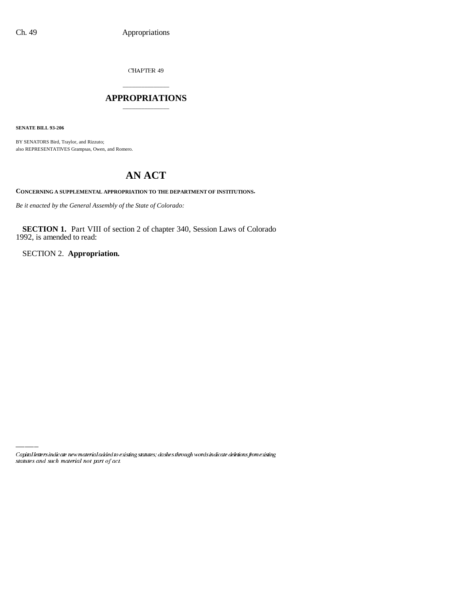CHAPTER 49

# \_\_\_\_\_\_\_\_\_\_\_\_\_\_\_ **APPROPRIATIONS** \_\_\_\_\_\_\_\_\_\_\_\_\_\_\_

**SENATE BILL 93-206**

BY SENATORS Bird, Traylor, and Rizzuto; also REPRESENTATIVES Grampsas, Owen, and Romero.

# **AN ACT**

**CONCERNING A SUPPLEMENTAL APPROPRIATION TO THE DEPARTMENT OF INSTITUTIONS.**

*Be it enacted by the General Assembly of the State of Colorado:*

**SECTION 1.** Part VIII of section 2 of chapter 340, Session Laws of Colorado 1992, is amended to read:

SECTION 2. **Appropriation.**

Capital letters indicate new material added to existing statutes; dashes through words indicate deletions from existing statutes and such material not part of act.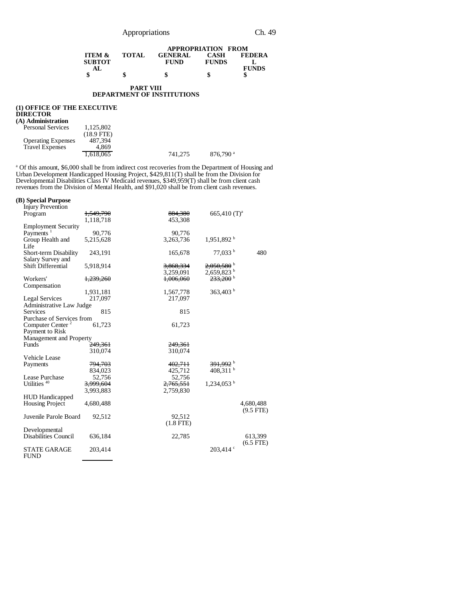|  | Appropriations |
|--|----------------|

|                   |              | <b>APPROPRIATION FROM</b> |              |               |  |
|-------------------|--------------|---------------------------|--------------|---------------|--|
| <b>ITEM &amp;</b> | <b>TOTAL</b> | <b>GENERAL</b>            | <b>CASH</b>  | <b>FEDERA</b> |  |
| <b>SUBTOT</b>     |              | <b>FUND</b>               | <b>FUNDS</b> |               |  |
| AL.               |              |                           |              | <b>FUNDS</b>  |  |
|                   | л            |                           |              |               |  |

#### **PART VIII DEPARTMENT OF INSTITUTIONS**

### **(1) OFFICE OF THE EXECUTIVE DIRECTOR**

| (A) Administration        |            |         |                        |
|---------------------------|------------|---------|------------------------|
| <b>Personal Services</b>  | 1.125.802  |         |                        |
|                           | (18.9 FTE) |         |                        |
| <b>Operating Expenses</b> | 487.394    |         |                        |
| <b>Travel Expenses</b>    | 4.869      |         |                        |
|                           | 1.618.065  | 741.275 | $876,790$ <sup>a</sup> |

<sup>a</sup> Of this amount, \$6,000 shall be from indirect cost recoveries from the Department of Housing and Urban Development Handicapped Housing Project, \$429,811(T) shall be from the Division for Developmental Disabilities Class IV Medicaid revenues, \$349,959(T) shall be from client cash revenues from the Division of Mental Health, and \$91,020 shall be from client cash revenues.

### **(B) Special Purpose**

| <b>Injury Prevention</b>                  |                      |             |                            |             |
|-------------------------------------------|----------------------|-------------|----------------------------|-------------|
| Program                                   | <del>1,549,790</del> | 884,380     | $665,410$ (T) <sup>a</sup> |             |
|                                           | 1,118,718            | 453,308     |                            |             |
| <b>Employment Security</b>                |                      |             |                            |             |
| Payments <sup>1</sup>                     | 90,776               | 90,776      |                            |             |
| Group Health and                          | 5,215,628            | 3,263,736   | 1.951.892 <sup>b</sup>     |             |
| Life                                      |                      |             |                            |             |
| Short-term Disability                     | 243,191              | 165,678     | 77.033 <sup>b</sup>        | 480         |
| Salary Survey and                         |                      |             |                            |             |
| <b>Shift Differential</b>                 | 5,918,914            | 3,868,334   | $2,050,580$ <sup>b</sup>   |             |
|                                           |                      | 3,259,091   | $2,659,823$ <sup>b</sup>   |             |
| Workers'                                  | 1,239,260            | 1,006,060   | $233.200^{b}$              |             |
| Compensation                              |                      |             |                            |             |
|                                           | 1,931,181            | 1,567,778   | 363,403 b                  |             |
| <b>Legal Services</b>                     | 217,097              | 217,097     |                            |             |
| Administrative Law Judge                  |                      |             |                            |             |
| <b>Services</b>                           | 815                  | 815         |                            |             |
| Purchase of Services from                 |                      |             |                            |             |
| Computer Center <sup>2</sup>              | 61,723               | 61,723      |                            |             |
| Payment to Risk                           |                      |             |                            |             |
| Management and Property                   |                      |             |                            |             |
| <b>Funds</b>                              | <del>249,361</del>   | 249.361     |                            |             |
|                                           | 310,074              | 310,074     |                            |             |
| Vehicle Lease                             |                      |             |                            |             |
|                                           | <del>794,703</del>   | 402,711     | $391,992$ <sup>b</sup>     |             |
| Payments                                  | 834.023              | 425,712     | 408.311 $^{\rm b}$         |             |
|                                           | 52,756               | 52,756      |                            |             |
| Lease Purchase<br>Utilities <sup>40</sup> |                      |             |                            |             |
|                                           | <del>3,999,604</del> | 2,765,551   | $1,234,053$ <sup>b</sup>   |             |
|                                           | 3,993,883            | 2,759,830   |                            |             |
| <b>HUD Handicapped</b>                    |                      |             |                            |             |
| <b>Housing Project</b>                    | 4,680,488            |             |                            | 4,680,488   |
|                                           |                      |             |                            | $(9.5$ FTE) |
| Juvenile Parole Board                     | 92,512               | 92.512      |                            |             |
|                                           |                      | $(1.8$ FTE) |                            |             |
| Developmental                             |                      |             |                            |             |
| <b>Disabilities Council</b>               | 636,184              | 22,785      |                            | 613,399     |
|                                           |                      |             |                            | $(6.5$ FTE) |
| <b>STATE GARAGE</b>                       | 203,414              |             | $203,414$ °                |             |
| <b>FUND</b>                               |                      |             |                            |             |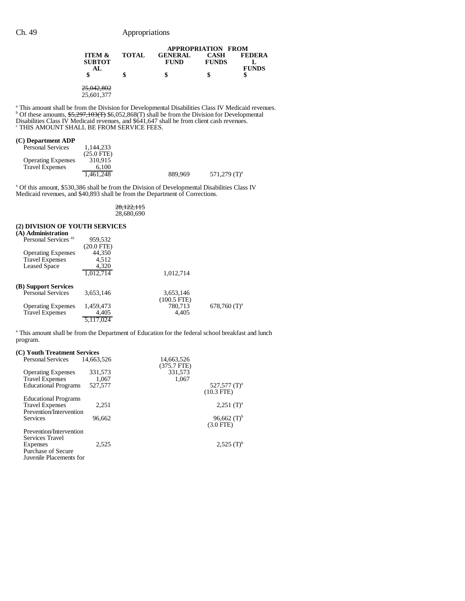|                                    |              |                               | <b>APPROPRIATION FROM</b>   |               |  |  |
|------------------------------------|--------------|-------------------------------|-----------------------------|---------------|--|--|
| <b>ITEM &amp;</b><br><b>SUBTOT</b> | <b>TOTAL</b> | <b>GENERAL</b><br><b>FUND</b> | <b>CASH</b><br><b>FUNDS</b> | <b>FEDERA</b> |  |  |
| AL.                                |              | \$                            |                             | <b>FUNDS</b>  |  |  |
| 25.042.002<br>ZJ.U42.00Z           |              |                               |                             |               |  |  |

25,601,377

<sup>a</sup> This amount shall be from the Division for Developmental Disabilities Class IV Medicaid revenues.<br><sup>b</sup> Of these amounts,  $55,297,103(f)$  \$6,052,868(T) shall be from the Division for Developmental Disabilities Class IV Medicaid revenues, and \$641,647 shall be from client cash revenues.<br><sup>c</sup> THIS AMOUNT SHALL BE FROM SERVICE FEES.

# **(C) Department ADP**

| <b>Personal Services</b>  | 1.144.233    |         |                 |
|---------------------------|--------------|---------|-----------------|
|                           | $(25.0$ FTE) |         |                 |
| <b>Operating Expenses</b> | 310.915      |         |                 |
| <b>Travel Expenses</b>    | 6.100        |         |                 |
|                           | 1.461.248    | 889,969 | 571.279 $(T)^a$ |

<sup>a</sup> Of this amount, \$530,386 shall be from the Division of Developmental Disabilities Class IV Medicaid revenues, and \$40,893 shall be from the Department of Corrections.

28,122,115 28,680,690

# **(2) DIVISION OF YOUTH SERVICES**

| (A) Administration              |              |               |                            |
|---------------------------------|--------------|---------------|----------------------------|
| Personal Services <sup>41</sup> | 959,532      |               |                            |
|                                 | $(20.0$ FTE) |               |                            |
| <b>Operating Expenses</b>       | 44,350       |               |                            |
| <b>Travel Expenses</b>          | 4.512        |               |                            |
| <b>Leased Space</b>             | 4,320        |               |                            |
|                                 | 1.012.714    | 1.012.714     |                            |
| (B) Support Services            |              |               |                            |
| <b>Personal Services</b>        | 3.653.146    | 3,653,146     |                            |
|                                 |              | $(100.5$ FTE) |                            |
| <b>Operating Expenses</b>       | 1,459,473    | 780,713       | $678,760$ (T) <sup>a</sup> |
| <b>Travel Expenses</b>          | 4,405        | 4.405         |                            |
|                                 | 5,117,024    |               |                            |

<sup>a</sup> This amount shall be from the Department of Education for the federal school breakfast and lunch program.

# **(C) Youth Treatment Services**

| Personal Services                                                                  | 14,663,526                  | 14,663,526<br>$(375.7$ FTE) |                                    |
|------------------------------------------------------------------------------------|-----------------------------|-----------------------------|------------------------------------|
| <b>Operating Expenses</b><br><b>Travel Expenses</b><br><b>Educational Programs</b> | 331,573<br>1.067<br>527,577 | 331,573<br>1,067            | $527,577$ (T) <sup>a</sup>         |
|                                                                                    |                             |                             | $(10.3$ FTE)                       |
| <b>Educational Programs</b><br><b>Travel Expenses</b><br>Prevention/Intervention   | 2.251                       |                             | $2,251$ (T) <sup>a</sup>           |
| Services                                                                           | 96.662                      |                             | 96,662 $(T)^{b}$<br>$(3.0$ FTE $)$ |
| Prevention/Intervention<br>Services Travel                                         |                             |                             |                                    |
| Expenses<br><b>Purchase of Secure</b><br>Juvenile Placements for                   | 2.525                       |                             | $2,525$ (T) <sup>b</sup>           |
|                                                                                    |                             |                             |                                    |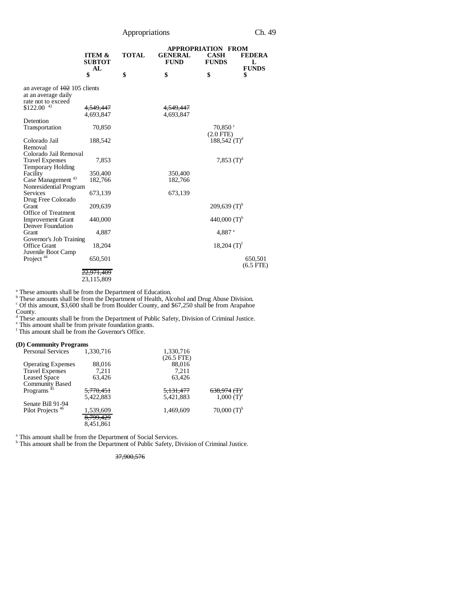Appropriations Ch. 49

|                                                                                        |                                          |              |                               | <b>APPROPRIATION FROM</b>            |                                    |
|----------------------------------------------------------------------------------------|------------------------------------------|--------------|-------------------------------|--------------------------------------|------------------------------------|
|                                                                                        | <b>ITEM &amp;</b><br><b>SUBTOT</b><br>AL | <b>TOTAL</b> | <b>GENERAL</b><br><b>FUND</b> | <b>CASH</b><br><b>FUNDS</b>          | <b>FEDERA</b><br>L<br><b>FUNDS</b> |
|                                                                                        | \$                                       | \$           | \$                            | \$                                   | \$                                 |
| an average of $\frac{102}{2}$ 105 clients<br>at an average daily<br>rate not to exceed |                                          |              |                               |                                      |                                    |
| \$122.00 42                                                                            | 4.549.447                                |              | 4.549.447                     |                                      |                                    |
|                                                                                        | 4.693.847                                |              | 4.693.847                     |                                      |                                    |
| Detention<br>Transportation                                                            | 70,850                                   |              |                               | $70.850$ $\degree$<br>$(2.0$ FTE $)$ |                                    |
| Colorado Jail                                                                          | 188,542                                  |              |                               | $188,542$ (T) <sup>d</sup>           |                                    |
| Removal<br>Colorado Jail Removal                                                       |                                          |              |                               |                                      |                                    |
| <b>Travel Expenses</b>                                                                 | 7,853                                    |              |                               | 7,853 $(T)^d$                        |                                    |
| <b>Temporary Holding</b>                                                               |                                          |              |                               |                                      |                                    |
| Facility                                                                               | 350,400                                  |              | 350,400                       |                                      |                                    |
| Case Management <sup>43</sup>                                                          | 182,766                                  |              | 182,766                       |                                      |                                    |
| Nonresidential Program<br>Services                                                     | 673,139                                  |              | 673,139                       |                                      |                                    |
| Drug Free Colorado                                                                     |                                          |              |                               |                                      |                                    |
| Grant                                                                                  | 209,639                                  |              |                               | $209,639$ (T) <sup>b</sup>           |                                    |
| Office of Treatment                                                                    |                                          |              |                               |                                      |                                    |
| <b>Improvement Grant</b>                                                               | 440,000                                  |              |                               | 440,000 $(T)^{b}$                    |                                    |
| Denver Foundation<br>Grant                                                             | 4,887                                    |              |                               | 4,887 $e$                            |                                    |
| Governor's Job Training                                                                |                                          |              |                               |                                      |                                    |
| Office Grant                                                                           | 18,204                                   |              |                               | $18,204$ (T) <sup>f</sup>            |                                    |
| Juvenile Boot Camp                                                                     |                                          |              |                               |                                      |                                    |
| Project <sup>44</sup>                                                                  | 650,501                                  |              |                               |                                      | 650,501                            |
|                                                                                        |                                          |              |                               |                                      | $(6.5$ FTE $)$                     |
|                                                                                        | <del>22,971,409</del><br>23,115,809      |              |                               |                                      |                                    |
|                                                                                        |                                          |              |                               |                                      |                                    |

These amounts shall be from the Department of Education.<br>
<sup>b</sup> These amounts shall be from the Department of Health, Alcohol and Drug Abuse Division.<br>
<sup>c</sup> Of this amount, \$3,600 shall be from Boulder County, and \$67,250 sh

County. d These amounts shall be from the Department of Public Safety, Division of Criminal Justice.

e This amount shall be from private foundation grants. f This amount shall be from the Governor's Office.

#### **(D) Community Programs**

| <b>Personal Services</b>     | 1,330,716            | 1,330,716            |                                     |
|------------------------------|----------------------|----------------------|-------------------------------------|
|                              |                      | $(26.5$ FTE)         |                                     |
| <b>Operating Expenses</b>    | 88,016               | 88,016               |                                     |
| <b>Travel Expenses</b>       | 7.211                | 7.211                |                                     |
| <b>Leased Space</b>          | 63.426               | 63,426               |                                     |
| <b>Community Based</b>       |                      |                      |                                     |
| Programs <sup>45</sup>       | <del>5.770.451</del> | <del>5.131.477</del> | <del>638,974 (T)</del> <sup>a</sup> |
|                              | 5.422.883            | 5.421.883            | $1,000$ $(T)^a$                     |
| Senate Bill 91-94            |                      |                      |                                     |
| Pilot Projects <sup>46</sup> | 1,539,609            | 1.469.609            | 70,000 $(T)^{b}$                    |
|                              | 8,799,429            |                      |                                     |
|                              | 8,451,861            |                      |                                     |

<sup>a</sup> This amount shall be from the Department of Social Services.<br><sup>b</sup> This amount shall be from the Department of Public Safety, Division of Criminal Justice.

# 37,900,576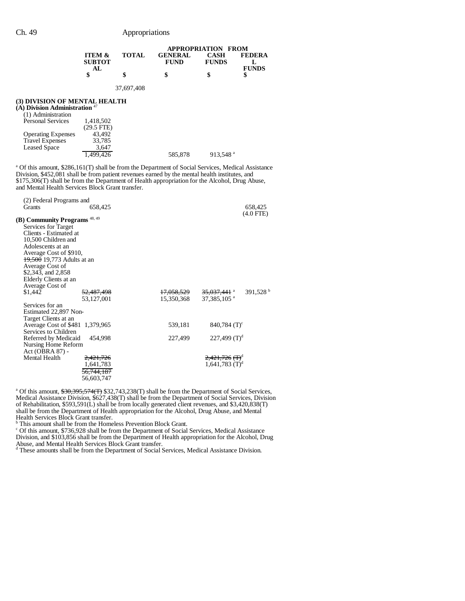|                                                                                                                                                                                                                                                                                                                                                                       | <b>APPROPRIATION FROM</b>                                           |            |                                     |                                                                       |                      |
|-----------------------------------------------------------------------------------------------------------------------------------------------------------------------------------------------------------------------------------------------------------------------------------------------------------------------------------------------------------------------|---------------------------------------------------------------------|------------|-------------------------------------|-----------------------------------------------------------------------|----------------------|
|                                                                                                                                                                                                                                                                                                                                                                       | <b>ITEM &amp;</b><br><b>SUBTOT</b>                                  | TOTAL      | <b>GENERAL</b><br><b>FUND</b>       | <b>CASH</b><br><b>FUNDS</b>                                           | <b>FEDERA</b><br>L   |
|                                                                                                                                                                                                                                                                                                                                                                       | AL<br>\$                                                            | \$         | \$                                  | \$                                                                    | <b>FUNDS</b><br>\$   |
|                                                                                                                                                                                                                                                                                                                                                                       |                                                                     | 37,697,408 |                                     |                                                                       |                      |
| (3) DIVISION OF MENTAL HEALTH<br>(A) Division Administration $47$<br>(1) Administration<br><b>Personal Services</b><br><b>Operating Expenses</b><br><b>Travel Expenses</b><br><b>Leased Space</b>                                                                                                                                                                     | 1,418,502<br>$(29.5$ FTE)<br>43,492<br>33,785<br>3,647<br>1,499,426 |            | 585,878                             | $913,548$ <sup>a</sup>                                                |                      |
| <sup>a</sup> Of this amount, \$286,161(T) shall be from the Department of Social Services, Medical Assistance<br>Division, \$452,081 shall be from patient revenues earned by the mental health institutes, and<br>\$175,306(T) shall be from the Department of Health appropriation for the Alcohol, Drug Abuse,<br>and Mental Health Services Block Grant transfer. |                                                                     |            |                                     |                                                                       |                      |
| (2) Federal Programs and<br>Grants                                                                                                                                                                                                                                                                                                                                    | 658,425                                                             |            |                                     |                                                                       | 658,425              |
| (B) Community Programs <sup>48,49</sup><br>Services for Target<br>Clients - Estimated at<br>10.500 Children and<br>Adolescents at an<br>Average Cost of \$910,<br>19,500 19,773 Adults at an<br>Average Cost of<br>\$2,343, and 2,858<br>Elderly Clients at an<br>Average Cost of                                                                                     |                                                                     |            |                                     |                                                                       | $(4.0$ FTE)          |
| \$1,442<br>Services for an<br>Estimated 22,897 Non-<br>Target Clients at an                                                                                                                                                                                                                                                                                           | <del>52,487,498</del><br>53,127,001                                 |            | <del>17,058,529</del><br>15,350,368 | <del>35,037,441</del> a<br>37,385,105 <sup>a</sup>                    | 391,528 <sup>b</sup> |
| Average Cost of \$481 1,379,965<br>Services to Children                                                                                                                                                                                                                                                                                                               |                                                                     |            | 539,181                             | $840,784$ (T) <sup>c</sup>                                            |                      |
| Referred by Medicaid<br>Nursing Home Reform<br>Act (OBRA 87) -                                                                                                                                                                                                                                                                                                        | 454,998                                                             |            | 227,499                             | $227,499$ (T) <sup>d</sup>                                            |                      |
| Mental Health                                                                                                                                                                                                                                                                                                                                                         | <del>2,421,726</del><br>1,641,783<br>56.744.187<br>56,603,747       |            |                                     | <del>2,421,726 (T)</del> <sup>d</sup><br>$1,641,783$ (T) <sup>d</sup> |                      |

<sup>a</sup> Of this amount, \$30,395,574(T) \$32,743,238(T) shall be from the Department of Social Services, Medical Assistance Division, \$627,438(T) shall be from the Department of Social Services, Division of Rehabilitation, \$593,591(L) shall be from locally generated client revenues, and \$3,420,838(T) shall be from the Department of Health appropriation for the Alcohol, Drug Abuse, and Mental

Health Services Block Grant transfer. b This amount shall be from the Homeless Prevention Block Grant.

<sup>c</sup> Of this amount, \$736,928 shall be from the Department of Social Services, Medical Assistance Division, and \$103,856 shall be from the Department of Health appropriation for the Alcohol, Drug

Abuse, and Mental Health Services Block Grant transfer. d These amounts shall be from the Department of Social Services, Medical Assistance Division.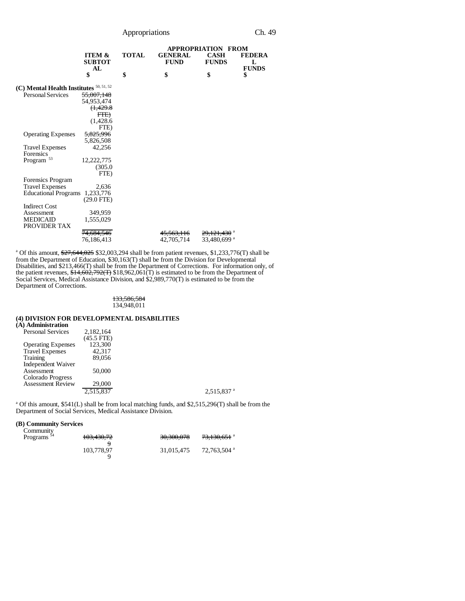| Appropriations | Ch. 49 |
|----------------|--------|
|----------------|--------|

|                                         |                                          |              | <b>APPROPRIATION FROM</b>     |                             |                                    |
|-----------------------------------------|------------------------------------------|--------------|-------------------------------|-----------------------------|------------------------------------|
|                                         | <b>ITEM &amp;</b><br><b>SUBTOT</b><br>AL | <b>TOTAL</b> | <b>GENERAL</b><br><b>FUND</b> | <b>CASH</b><br><b>FUNDS</b> | <b>FEDERA</b><br>L<br><b>FUNDS</b> |
|                                         | \$                                       | \$           | \$                            | \$                          | \$                                 |
| (C) Mental Health Institutes 50, 51, 52 |                                          |              |                               |                             |                                    |
| <b>Personal Services</b>                | <del>55,007,148</del>                    |              |                               |                             |                                    |
|                                         | 54,953,474                               |              |                               |                             |                                    |
|                                         | <del>(1,429.8</del>                      |              |                               |                             |                                    |
|                                         | FTE)                                     |              |                               |                             |                                    |
|                                         | (1,428.6)                                |              |                               |                             |                                    |
|                                         | FTE)                                     |              |                               |                             |                                    |
| <b>Operating Expenses</b>               | 5,825,996                                |              |                               |                             |                                    |
|                                         | 5,826,508                                |              |                               |                             |                                    |
| <b>Travel Expenses</b>                  | 42,256                                   |              |                               |                             |                                    |
| Forensics                               |                                          |              |                               |                             |                                    |
| Program <sup>53</sup>                   | 12,222,775                               |              |                               |                             |                                    |
|                                         | (305.0)                                  |              |                               |                             |                                    |
|                                         | FTE)                                     |              |                               |                             |                                    |
| Forensics Program                       |                                          |              |                               |                             |                                    |
| <b>Travel Expenses</b>                  | 2,636                                    |              |                               |                             |                                    |
| <b>Educational Programs</b>             | 1,233,776                                |              |                               |                             |                                    |
|                                         | $(29.0$ FTE)                             |              |                               |                             |                                    |
| <b>Indirect Cost</b>                    |                                          |              |                               |                             |                                    |
| Assessment                              | 349,959                                  |              |                               |                             |                                    |
| <b>MEDICAID</b>                         | 1,555,029                                |              |                               |                             |                                    |
| PROVIDER TAX                            |                                          |              |                               |                             |                                    |
|                                         | <del>74,684,546</del>                    |              | 45.563.116                    | <del>29.121.430</del> ª     |                                    |
|                                         | 76,186,413                               |              | 42,705,714                    | 33,480,699 a                |                                    |

<sup>a</sup> Of this amount, \$27,644,025 \$32,003,294 shall be from patient revenues, \$1,233,776(T) shall be from the Department of Education, \$30,163(T) shall be from the Division for Developmental Disabilities, and \$213,466(T) shall be from the Department of Corrections. For information only, of the patient revenues,  $$14,602,792(T)$   $$18,962,061(T)$  is estimated to be from the Department of Social Services, Medical Assistance Division, and \$2,989,770(T) is estimated to be from the Department of Corrections.

#### 133,586,584 134,948,011

### **(4) DIVISION FOR DEVELOPMENTAL DISABILITIES**

| (A) Administration        |            |                          |
|---------------------------|------------|--------------------------|
| <b>Personal Services</b>  | 2,182,164  |                          |
|                           | (45.5 FTE) |                          |
| <b>Operating Expenses</b> | 123,300    |                          |
| <b>Travel Expenses</b>    | 42.317     |                          |
| <b>Training</b>           | 89,056     |                          |
| Independent Waiver        |            |                          |
| Assessment                | 50,000     |                          |
| Colorado Progress         |            |                          |
| <b>Assessment Review</b>  | 29,000     |                          |
|                           | 2,515,837  | $2,515,837$ <sup>a</sup> |
|                           |            |                          |

<sup>a</sup> Of this amount, \$541(L) shall be from local matching funds, and \$2,515,296(T) shall be from the Department of Social Services, Medical Assistance Division.

# **(B) Community Services**

| Community<br>Programs <sup>54</sup> | 103,430,72 | 30,300,078 | 73,130,651 <sup>a</sup> |
|-------------------------------------|------------|------------|-------------------------|
|                                     | 103,778,97 | 31,015,475 | 72,763,504 a            |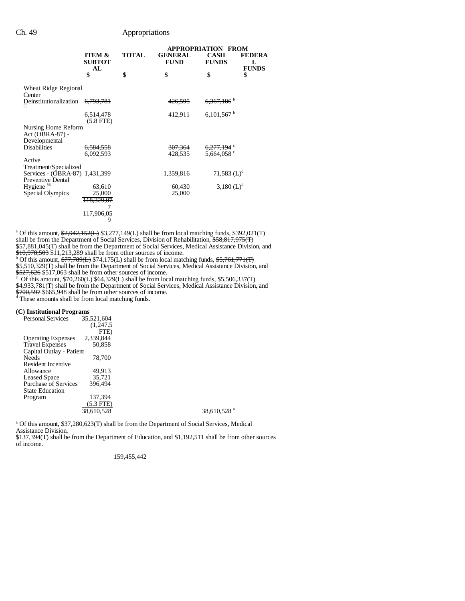# Ch. 49 Appropriations

|                                                         |                                          |              | <b>APPROPRIATION</b><br><b>FROM</b> |                             |                                    |
|---------------------------------------------------------|------------------------------------------|--------------|-------------------------------------|-----------------------------|------------------------------------|
|                                                         | <b>ITEM &amp;</b><br><b>SUBTOT</b><br>AL | <b>TOTAL</b> | <b>GENERAL</b><br><b>FUND</b>       | <b>CASH</b><br><b>FUNDS</b> | <b>FEDERA</b><br>L<br><b>FUNDS</b> |
|                                                         | \$                                       | \$           | \$                                  | \$                          | \$                                 |
| Wheat Ridge Regional<br>Center                          |                                          |              |                                     |                             |                                    |
| Deinstitutionalization<br>55                            | <del>6,793,781</del>                     |              | <del>426,595</del>                  | $6,367,186$ <sup>b</sup>    |                                    |
|                                                         | 6,514,478<br>$(5.8$ FTE)                 |              | 412,911                             | $6,101,567$ <sup>b</sup>    |                                    |
| Nursing Home Reform<br>Act (OBRA-87) -<br>Developmental |                                          |              |                                     |                             |                                    |
| <b>Disabilities</b>                                     | 6,584,558                                |              | <del>307,364</del>                  | 6,277,194 °                 |                                    |
|                                                         | 6.092.593                                |              | 428,535                             | 5,664,058 $\degree$         |                                    |
| Active<br>Treatment/Specialized                         |                                          |              |                                     |                             |                                    |
| Services - (OBRA-87) 1,431,399<br>Preventive Dental     |                                          |              | 1,359,816                           | 71,583 $(L)^d$              |                                    |
| Hygiene <sup>56</sup>                                   | 63,610                                   |              | 60,430                              | 3,180 $(L)^d$               |                                    |
| Special Olympics                                        | 25,000<br>118,329,07                     |              | 25,000                              |                             |                                    |
|                                                         | 7                                        |              |                                     |                             |                                    |
|                                                         | 117,906,05                               |              |                                     |                             |                                    |

<sup>a</sup> Of this amount, \$2,942,152(L) \$3,277,149(L) shall be from local matching funds, \$392,021(T) shall be from the Department of Social Services, Division of Rehabilitation, \$58,817,975(T) \$57,881,045(T) shall be from the Department of Social Services, Medical Assistance Division, and \$10,978,503 \$11,213,289 shall be from other sources of income.<br><sup>b</sup> Of this amount, \$77,789(L) \$74,175(L) shall be from local matching funds, \$5,761,771(T)

\$5,510,329(T) shall be from the Department of Social Services, Medical Assistance Division, and

\$527,626 \$517,063 shall be from other sources of income.<br>
<sup>c</sup> Of this amount, \$70,260(L) \$64,329(L) shall be from local matching funds, \$5,506,337(T)

\$4,933,781(T) shall be from the Department of Social Services, Medical Assistance Division, and

\$700,597 \$665,948 shall be from other sources of income.<br>d These amounts shall be from local matching funds.

9

# **(C) Institutional Programs**

|                          | <b>Personal Services</b>    | 35,521,604 |
|--------------------------|-----------------------------|------------|
|                          |                             | (1,247.5)  |
|                          |                             | FTE)       |
|                          | <b>Operating Expenses</b>   | 2,339,844  |
|                          | <b>Travel Expenses</b>      | 50.858     |
| Capital Outlay - Patient |                             |            |
|                          | <b>Needs</b>                | 78,700     |
|                          | Resident Incentive          |            |
|                          | Allowance                   | 49.913     |
|                          | <b>Leased Space</b>         | 35.721     |
|                          | <b>Purchase of Services</b> | 396.494    |
|                          | <b>State Education</b>      |            |
|                          | Program                     | 137,394    |
|                          |                             | (5.3 FTE)  |
|                          |                             | 38.610.528 |
|                          |                             |            |

<sup>a</sup> Of this amount, \$37,280,623(T) shall be from the Department of Social Services, Medical Assistance Division,

\$137,394(T) shall be from the Department of Education, and \$1,192,511 shall be from other sources of income.

159,455,442